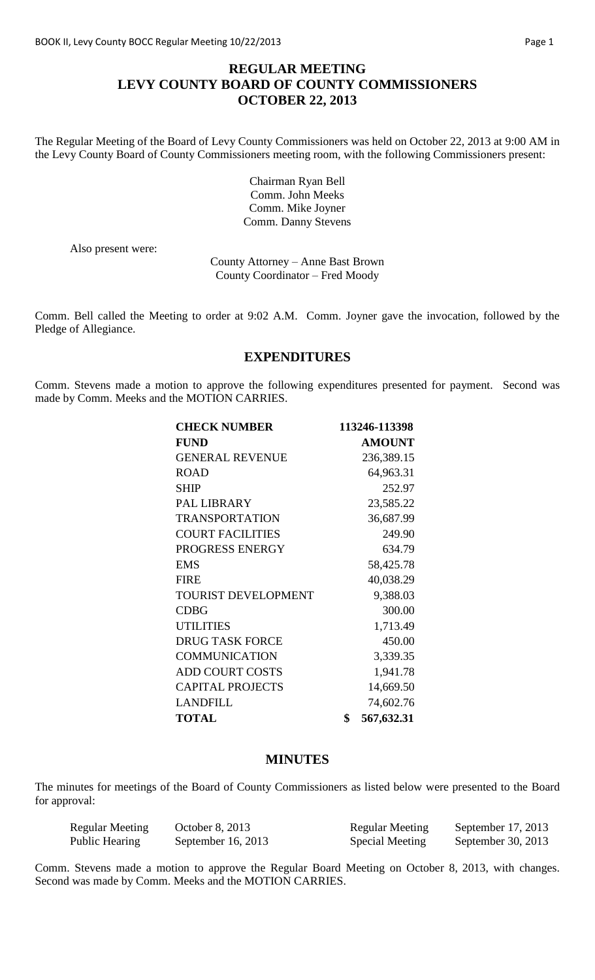# **REGULAR MEETING LEVY COUNTY BOARD OF COUNTY COMMISSIONERS OCTOBER 22, 2013**

The Regular Meeting of the Board of Levy County Commissioners was held on October 22, 2013 at 9:00 AM in the Levy County Board of County Commissioners meeting room, with the following Commissioners present:

> Chairman Ryan Bell Comm. John Meeks Comm. Mike Joyner Comm. Danny Stevens

Also present were:

County Attorney – Anne Bast Brown County Coordinator – Fred Moody

Comm. Bell called the Meeting to order at 9:02 A.M. Comm. Joyner gave the invocation, followed by the Pledge of Allegiance.

### **EXPENDITURES**

Comm. Stevens made a motion to approve the following expenditures presented for payment. Second was made by Comm. Meeks and the MOTION CARRIES.

| <b>CHECK NUMBER</b>        | 113246-113398    |
|----------------------------|------------------|
| <b>FUND</b>                | <b>AMOUNT</b>    |
| <b>GENERAL REVENUE</b>     | 236,389.15       |
| <b>ROAD</b>                | 64,963.31        |
| <b>SHIP</b>                | 252.97           |
| PAL LIBRARY                | 23,585.22        |
| <b>TRANSPORTATION</b>      | 36,687.99        |
| <b>COURT FACILITIES</b>    | 249.90           |
| PROGRESS ENERGY            | 634.79           |
| <b>EMS</b>                 | 58,425.78        |
| <b>FIRE</b>                | 40,038.29        |
| <b>TOURIST DEVELOPMENT</b> | 9,388.03         |
| <b>CDBG</b>                | 300.00           |
| <b>UTILITIES</b>           | 1,713.49         |
| <b>DRUG TASK FORCE</b>     | 450.00           |
| <b>COMMUNICATION</b>       | 3,339.35         |
| <b>ADD COURT COSTS</b>     | 1,941.78         |
| <b>CAPITAL PROJECTS</b>    | 14,669.50        |
| <b>LANDFILL</b>            | 74,602.76        |
| <b>TOTAL</b>               | \$<br>567,632.31 |

#### **MINUTES**

The minutes for meetings of the Board of County Commissioners as listed below were presented to the Board for approval:

| Regular Meeting | October 8, 2013    | <b>Regular Meeting</b> | September $17, 2013$ |
|-----------------|--------------------|------------------------|----------------------|
| Public Hearing  | September 16, 2013 | Special Meeting        | September 30, 2013   |

Comm. Stevens made a motion to approve the Regular Board Meeting on October 8, 2013, with changes. Second was made by Comm. Meeks and the MOTION CARRIES.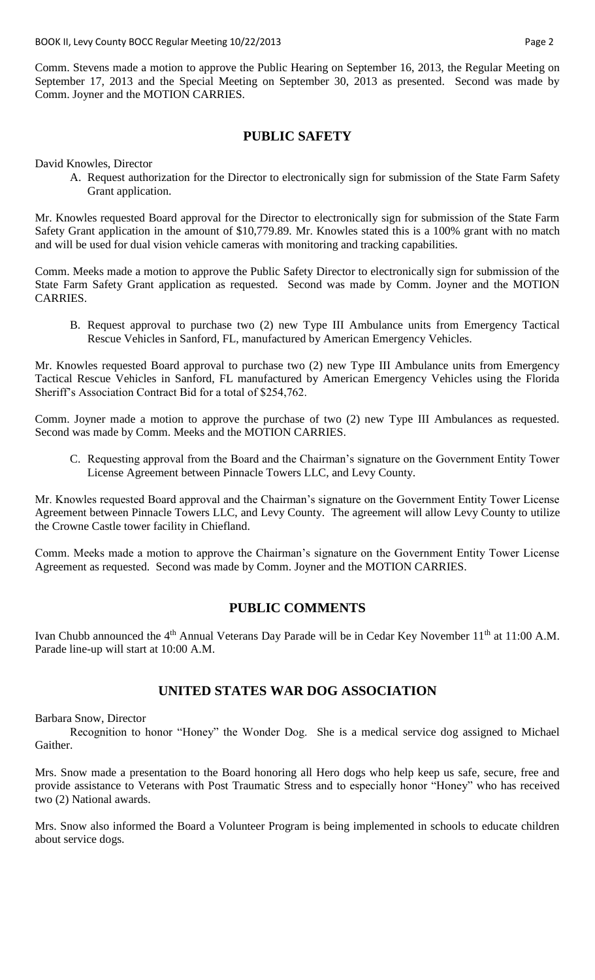Comm. Stevens made a motion to approve the Public Hearing on September 16, 2013, the Regular Meeting on September 17, 2013 and the Special Meeting on September 30, 2013 as presented. Second was made by Comm. Joyner and the MOTION CARRIES.

#### **PUBLIC SAFETY**

David Knowles, Director

A. Request authorization for the Director to electronically sign for submission of the State Farm Safety Grant application.

Mr. Knowles requested Board approval for the Director to electronically sign for submission of the State Farm Safety Grant application in the amount of \$10,779.89. Mr. Knowles stated this is a 100% grant with no match and will be used for dual vision vehicle cameras with monitoring and tracking capabilities.

Comm. Meeks made a motion to approve the Public Safety Director to electronically sign for submission of the State Farm Safety Grant application as requested. Second was made by Comm. Joyner and the MOTION CARRIES.

B. Request approval to purchase two (2) new Type III Ambulance units from Emergency Tactical Rescue Vehicles in Sanford, FL, manufactured by American Emergency Vehicles.

Mr. Knowles requested Board approval to purchase two (2) new Type III Ambulance units from Emergency Tactical Rescue Vehicles in Sanford, FL manufactured by American Emergency Vehicles using the Florida Sheriff's Association Contract Bid for a total of \$254,762.

Comm. Joyner made a motion to approve the purchase of two (2) new Type III Ambulances as requested. Second was made by Comm. Meeks and the MOTION CARRIES.

C. Requesting approval from the Board and the Chairman's signature on the Government Entity Tower License Agreement between Pinnacle Towers LLC, and Levy County.

Mr. Knowles requested Board approval and the Chairman's signature on the Government Entity Tower License Agreement between Pinnacle Towers LLC, and Levy County. The agreement will allow Levy County to utilize the Crowne Castle tower facility in Chiefland.

Comm. Meeks made a motion to approve the Chairman's signature on the Government Entity Tower License Agreement as requested. Second was made by Comm. Joyner and the MOTION CARRIES.

#### **PUBLIC COMMENTS**

Ivan Chubb announced the 4<sup>th</sup> Annual Veterans Day Parade will be in Cedar Key November 11<sup>th</sup> at 11:00 A.M. Parade line-up will start at 10:00 A.M.

#### **UNITED STATES WAR DOG ASSOCIATION**

Barbara Snow, Director

Recognition to honor "Honey" the Wonder Dog. She is a medical service dog assigned to Michael Gaither.

Mrs. Snow made a presentation to the Board honoring all Hero dogs who help keep us safe, secure, free and provide assistance to Veterans with Post Traumatic Stress and to especially honor "Honey" who has received two (2) National awards.

Mrs. Snow also informed the Board a Volunteer Program is being implemented in schools to educate children about service dogs.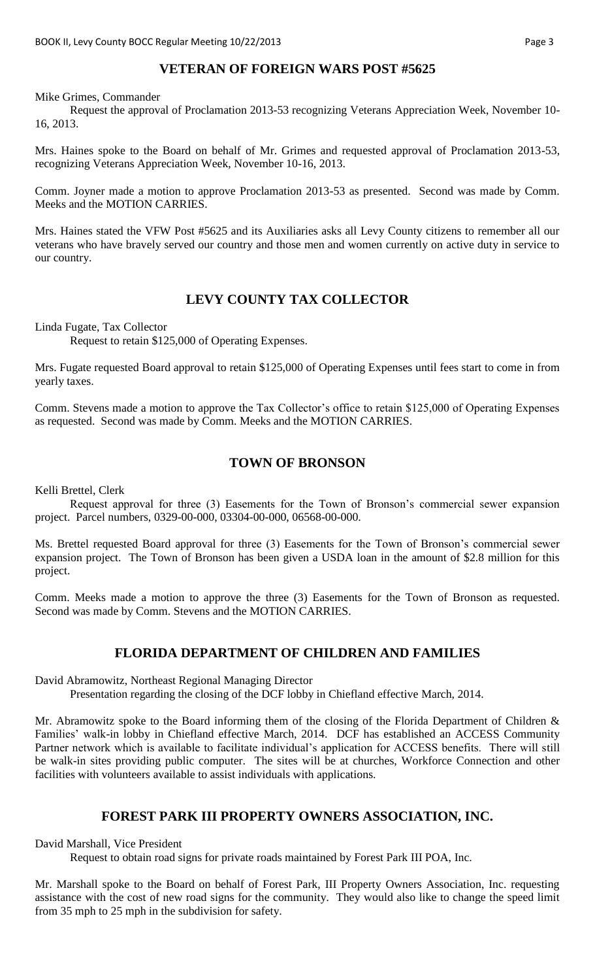# **VETERAN OF FOREIGN WARS POST #5625**

Mike Grimes, Commander

Request the approval of Proclamation 2013-53 recognizing Veterans Appreciation Week, November 10- 16, 2013.

Mrs. Haines spoke to the Board on behalf of Mr. Grimes and requested approval of Proclamation 2013-53, recognizing Veterans Appreciation Week, November 10-16, 2013.

Comm. Joyner made a motion to approve Proclamation 2013-53 as presented. Second was made by Comm. Meeks and the MOTION CARRIES.

Mrs. Haines stated the VFW Post #5625 and its Auxiliaries asks all Levy County citizens to remember all our veterans who have bravely served our country and those men and women currently on active duty in service to our country.

### **LEVY COUNTY TAX COLLECTOR**

Linda Fugate, Tax Collector

Request to retain \$125,000 of Operating Expenses.

Mrs. Fugate requested Board approval to retain \$125,000 of Operating Expenses until fees start to come in from yearly taxes.

Comm. Stevens made a motion to approve the Tax Collector's office to retain \$125,000 of Operating Expenses as requested. Second was made by Comm. Meeks and the MOTION CARRIES.

#### **TOWN OF BRONSON**

Kelli Brettel, Clerk

Request approval for three (3) Easements for the Town of Bronson's commercial sewer expansion project. Parcel numbers, 0329-00-000, 03304-00-000, 06568-00-000.

Ms. Brettel requested Board approval for three (3) Easements for the Town of Bronson's commercial sewer expansion project. The Town of Bronson has been given a USDA loan in the amount of \$2.8 million for this project.

Comm. Meeks made a motion to approve the three (3) Easements for the Town of Bronson as requested. Second was made by Comm. Stevens and the MOTION CARRIES.

# **FLORIDA DEPARTMENT OF CHILDREN AND FAMILIES**

David Abramowitz, Northeast Regional Managing Director

Presentation regarding the closing of the DCF lobby in Chiefland effective March, 2014.

Mr. Abramowitz spoke to the Board informing them of the closing of the Florida Department of Children & Families' walk-in lobby in Chiefland effective March, 2014. DCF has established an ACCESS Community Partner network which is available to facilitate individual's application for ACCESS benefits. There will still be walk-in sites providing public computer. The sites will be at churches, Workforce Connection and other facilities with volunteers available to assist individuals with applications.

# **FOREST PARK III PROPERTY OWNERS ASSOCIATION, INC.**

David Marshall, Vice President

Request to obtain road signs for private roads maintained by Forest Park III POA, Inc.

Mr. Marshall spoke to the Board on behalf of Forest Park, III Property Owners Association, Inc. requesting assistance with the cost of new road signs for the community. They would also like to change the speed limit from 35 mph to 25 mph in the subdivision for safety.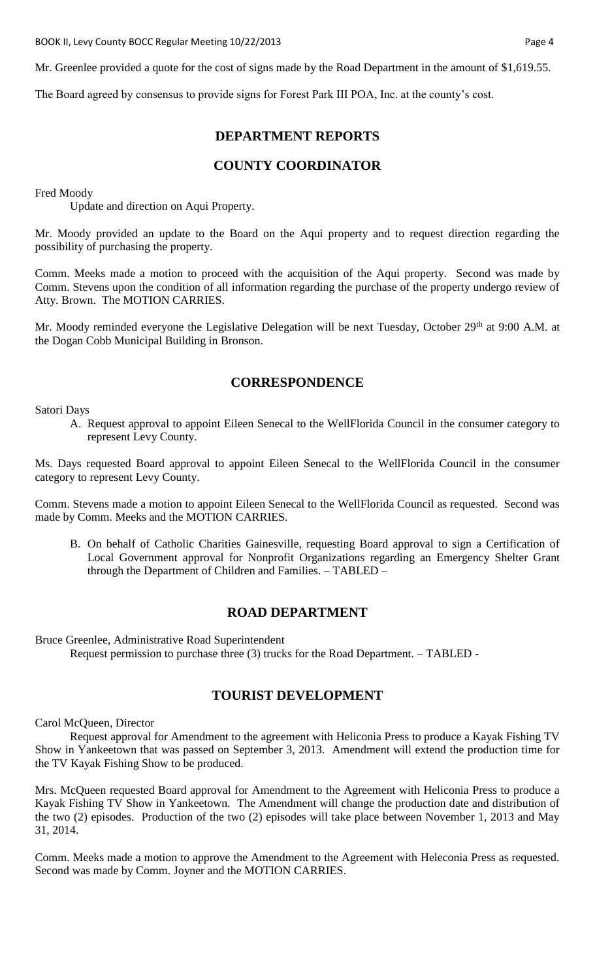Mr. Greenlee provided a quote for the cost of signs made by the Road Department in the amount of \$1,619.55.

The Board agreed by consensus to provide signs for Forest Park III POA, Inc. at the county's cost.

#### **DEPARTMENT REPORTS**

# **COUNTY COORDINATOR**

Fred Moody

Update and direction on Aqui Property.

Mr. Moody provided an update to the Board on the Aqui property and to request direction regarding the possibility of purchasing the property.

Comm. Meeks made a motion to proceed with the acquisition of the Aqui property. Second was made by Comm. Stevens upon the condition of all information regarding the purchase of the property undergo review of Atty. Brown. The MOTION CARRIES.

Mr. Moody reminded everyone the Legislative Delegation will be next Tuesday, October 29<sup>th</sup> at 9:00 A.M. at the Dogan Cobb Municipal Building in Bronson.

### **CORRESPONDENCE**

Satori Days

A. Request approval to appoint Eileen Senecal to the WellFlorida Council in the consumer category to represent Levy County.

Ms. Days requested Board approval to appoint Eileen Senecal to the WellFlorida Council in the consumer category to represent Levy County.

Comm. Stevens made a motion to appoint Eileen Senecal to the WellFlorida Council as requested. Second was made by Comm. Meeks and the MOTION CARRIES.

B. On behalf of Catholic Charities Gainesville, requesting Board approval to sign a Certification of Local Government approval for Nonprofit Organizations regarding an Emergency Shelter Grant through the Department of Children and Families. – TABLED –

#### **ROAD DEPARTMENT**

Bruce Greenlee, Administrative Road Superintendent

Request permission to purchase three (3) trucks for the Road Department. – TABLED -

# **TOURIST DEVELOPMENT**

Carol McQueen, Director

Request approval for Amendment to the agreement with Heliconia Press to produce a Kayak Fishing TV Show in Yankeetown that was passed on September 3, 2013. Amendment will extend the production time for the TV Kayak Fishing Show to be produced.

Mrs. McQueen requested Board approval for Amendment to the Agreement with Heliconia Press to produce a Kayak Fishing TV Show in Yankeetown. The Amendment will change the production date and distribution of the two (2) episodes. Production of the two (2) episodes will take place between November 1, 2013 and May 31, 2014.

Comm. Meeks made a motion to approve the Amendment to the Agreement with Heleconia Press as requested. Second was made by Comm. Joyner and the MOTION CARRIES.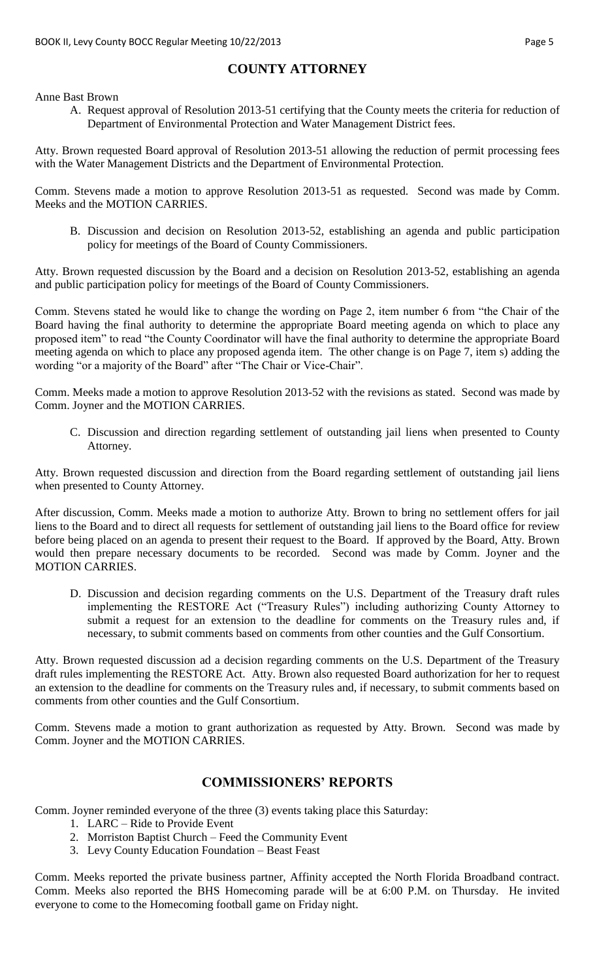# **COUNTY ATTORNEY**

Anne Bast Brown

A. Request approval of Resolution 2013-51 certifying that the County meets the criteria for reduction of Department of Environmental Protection and Water Management District fees.

Atty. Brown requested Board approval of Resolution 2013-51 allowing the reduction of permit processing fees with the Water Management Districts and the Department of Environmental Protection.

Comm. Stevens made a motion to approve Resolution 2013-51 as requested. Second was made by Comm. Meeks and the MOTION CARRIES.

B. Discussion and decision on Resolution 2013-52, establishing an agenda and public participation policy for meetings of the Board of County Commissioners.

Atty. Brown requested discussion by the Board and a decision on Resolution 2013-52, establishing an agenda and public participation policy for meetings of the Board of County Commissioners.

Comm. Stevens stated he would like to change the wording on Page 2, item number 6 from "the Chair of the Board having the final authority to determine the appropriate Board meeting agenda on which to place any proposed item" to read "the County Coordinator will have the final authority to determine the appropriate Board meeting agenda on which to place any proposed agenda item. The other change is on Page 7, item s) adding the wording "or a majority of the Board" after "The Chair or Vice-Chair".

Comm. Meeks made a motion to approve Resolution 2013-52 with the revisions as stated. Second was made by Comm. Joyner and the MOTION CARRIES.

C. Discussion and direction regarding settlement of outstanding jail liens when presented to County Attorney.

Atty. Brown requested discussion and direction from the Board regarding settlement of outstanding jail liens when presented to County Attorney.

After discussion, Comm. Meeks made a motion to authorize Atty. Brown to bring no settlement offers for jail liens to the Board and to direct all requests for settlement of outstanding jail liens to the Board office for review before being placed on an agenda to present their request to the Board. If approved by the Board, Atty. Brown would then prepare necessary documents to be recorded. Second was made by Comm. Joyner and the MOTION CARRIES.

D. Discussion and decision regarding comments on the U.S. Department of the Treasury draft rules implementing the RESTORE Act ("Treasury Rules") including authorizing County Attorney to submit a request for an extension to the deadline for comments on the Treasury rules and, if necessary, to submit comments based on comments from other counties and the Gulf Consortium.

Atty. Brown requested discussion ad a decision regarding comments on the U.S. Department of the Treasury draft rules implementing the RESTORE Act. Atty. Brown also requested Board authorization for her to request an extension to the deadline for comments on the Treasury rules and, if necessary, to submit comments based on comments from other counties and the Gulf Consortium.

Comm. Stevens made a motion to grant authorization as requested by Atty. Brown. Second was made by Comm. Joyner and the MOTION CARRIES.

# **COMMISSIONERS' REPORTS**

Comm. Joyner reminded everyone of the three (3) events taking place this Saturday:

- 1. LARC Ride to Provide Event
- 2. Morriston Baptist Church Feed the Community Event
- 3. Levy County Education Foundation Beast Feast

Comm. Meeks reported the private business partner, Affinity accepted the North Florida Broadband contract. Comm. Meeks also reported the BHS Homecoming parade will be at 6:00 P.M. on Thursday. He invited everyone to come to the Homecoming football game on Friday night.